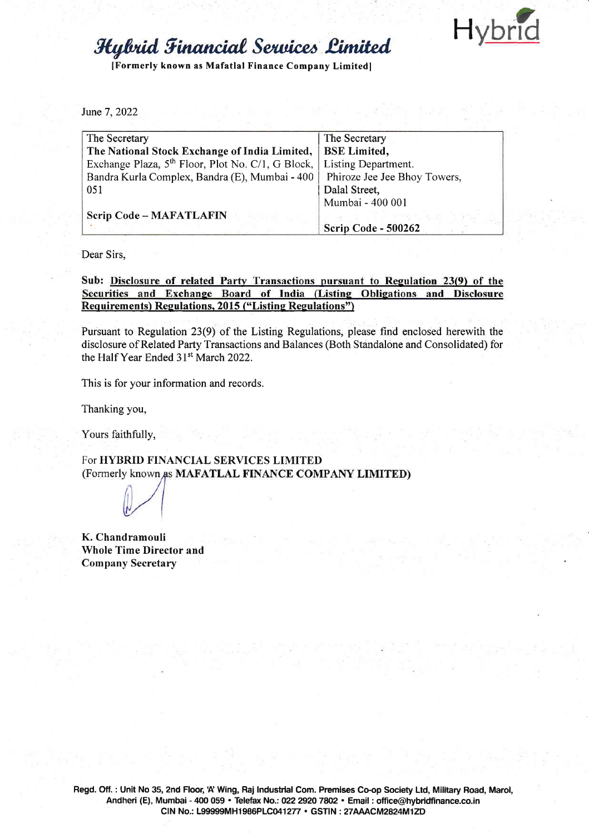Hybr

## **Hylvid Financial Services Limited**

IFormerly known as Mafatlal Finance Company Limitedl

June 7,2022

| The Secretary                                                 | The Secretary                |
|---------------------------------------------------------------|------------------------------|
| The National Stock Exchange of India Limited,                 | <b>BSE</b> Limited,          |
| Exchange Plaza, 5 <sup>th</sup> Floor, Plot No. C/1, G Block, | Listing Department.          |
| Bandra Kurla Complex, Bandra (E), Mumbai - 400                | Phiroze Jee Jee Bhoy Towers, |
| 051                                                           | Dalal Street,                |
|                                                               | Mumbai - 400 001             |
| <b>Scrip Code - MAFATLAFIN</b>                                |                              |
|                                                               | Scrip Code - 500262          |

Dear Sirs,

Sub: Disclosure of related Party Transactions pursuant to Regulation 23(9) of the Securities and Exchange Board of India (Listing Obligations and Disclosure Requirements) Regulations, 2015 ("Listing Regulations")

Pursuant to Regulation 23(9) of the Listing Regulations, please find enclosed herewith the disclosure of Related Party Transactions and Balances (Both Standalone and Consolidated) for the Half Year Ended 31<sup>st</sup> March 2022.

This is for your information and records.

Thanking you,

Yours faithfully,

For HYBRID FINANCIAL SERVICES LIMITED (Formerly known as MAFATLAL FINANCE COMPANY LIMITED)

K. Chandramouli Whole Time Director and Company Secretary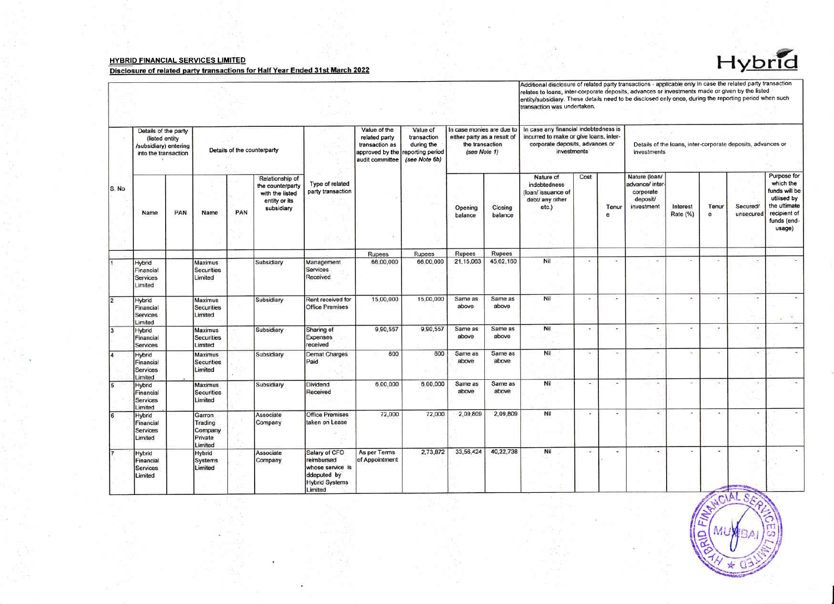## **HYBRID FINANCIAL SERVICES LIMITED**

## Disclosure of related party transactions for Half Year Ended 31st March 2022



Additional disclosure of related party transactions - applicable only in case the related party transaction<br>relates to loans, inter-corporate deposits, advances or investments made or given by the listed<br>entity/subsidiary.

| S. No          | Details of the party<br>(listed entity)<br>/subsidiary) entering<br>into the transaction |     | Details of the counterparty                        |     |                                                                                       |                                                                                                    | Value of the<br>related party<br>transaction as<br>approved by the<br>audit committee | Value of<br>transaction<br>during the<br>reporting period<br>(see Note 6b) | In case monies are due to<br>either party as a result of<br>the transaction<br>(see Note 1) |                    | In case any financial indebtedness is<br>incurred to make or give loans, inter-<br>corporate deposits, advances or<br>investments |                      |                      | Details of the loans, inter-corporate deposits, advances or<br>investments |                      |            |                          |                                                                                                                   |
|----------------|------------------------------------------------------------------------------------------|-----|----------------------------------------------------|-----|---------------------------------------------------------------------------------------|----------------------------------------------------------------------------------------------------|---------------------------------------------------------------------------------------|----------------------------------------------------------------------------|---------------------------------------------------------------------------------------------|--------------------|-----------------------------------------------------------------------------------------------------------------------------------|----------------------|----------------------|----------------------------------------------------------------------------|----------------------|------------|--------------------------|-------------------------------------------------------------------------------------------------------------------|
|                | Name                                                                                     | PAN | Name                                               | PAN | Relationship of<br>the counterparty<br>with the listed<br>entity or its<br>subsidiary | Type of related<br>party transaction                                                               |                                                                                       |                                                                            | Opening<br>balance                                                                          | Closing<br>balance | Nature of<br>indebtedness<br>(loan/ issuance of<br>debt/ any other<br>etc.)                                                       | Cost                 | Tenur<br>е           | Nature (loan/<br>advance/ inter<br>corporate<br>deposit/<br>investment     | Interest<br>Rate (%) | Tenur<br>e | Secured/<br>unsecured    | Purpose for<br>which the<br>funds will be<br>utilised by<br>the ultimate<br>recipient of<br>tunds (end-<br>usage) |
|                |                                                                                          |     |                                                    |     |                                                                                       |                                                                                                    | Rupees                                                                                | Rupees                                                                     | <b>Rupees</b>                                                                               | Rupees             |                                                                                                                                   |                      |                      |                                                                            |                      |            |                          |                                                                                                                   |
|                | Hybrid<br>Financial<br>Services<br>Limited                                               |     | Maximus<br><b>Securities</b><br>Limited            |     | Subsidiary                                                                            | Management<br>Services<br>Received                                                                 | 66,00,000                                                                             | 66,00,000                                                                  | 21, 15, 063                                                                                 | 45,62,160          | Nil                                                                                                                               | in 1                 | $\sim$               |                                                                            |                      | ×.         | $\sim$                   |                                                                                                                   |
| $\overline{2}$ | Hybrid<br>Financial<br>Services<br>Limited                                               |     | Maximus<br><b>Securities</b><br>Limited            |     | Subsidiary                                                                            | Rent received for<br><b>Office Premises</b>                                                        | 15,00,000                                                                             | 15,00,000                                                                  | Same as<br>above                                                                            | Same as<br>above   | Nil                                                                                                                               | ×                    | $\sim$               | ٠                                                                          |                      | ٠          | $\ddot{}$                |                                                                                                                   |
| $\overline{3}$ | <b>Hybrid</b><br>Financial<br>Services                                                   |     | <b>Maximus</b><br><b>Securities</b><br>Limited     |     | Subsidiary                                                                            | Sharing of<br>Expenses<br>received                                                                 | 9,90,557                                                                              | 9,90,557                                                                   | Same as<br>above                                                                            | Same as<br>above   | Nil                                                                                                                               | $\sim$               | $\cdot$              | ٠                                                                          |                      | ٠          |                          |                                                                                                                   |
| 14             | Hybrid<br>Financial<br>Services<br>Limited                                               |     | Maximus<br><b>Securities</b><br>Limited            |     | Subsidiary                                                                            | <b>Demat Charges</b><br>Paid                                                                       | 600                                                                                   | 600                                                                        | Same as<br>above                                                                            | Same as<br>above   | Nil                                                                                                                               | $\sim$               | $\cdot$              | ÷                                                                          |                      | ×          | $\overline{\phantom{a}}$ |                                                                                                                   |
| 5              | <b>Hybrid</b><br>Financial<br><b>Services</b><br>Limited                                 |     | <b>Maximus</b><br><b>Securities</b><br>Limited     |     | Subsidiary                                                                            | <b>Dividend</b><br>Received                                                                        | 6,00,000                                                                              | 6,00,000                                                                   | Same as<br>above                                                                            | Same as<br>above   | Nil                                                                                                                               | $\ddot{\phantom{1}}$ | $\ddot{\phantom{1}}$ | $\ddot{}$                                                                  |                      | $\sim$     | ×                        |                                                                                                                   |
| $\overline{6}$ | Hybrid<br>Financial<br>Services<br>Limited                                               |     | Garron<br>Trading<br>Company<br>Private<br>Limited |     | Associate<br>Company                                                                  | <b>Office Premises</b><br>taken on Lease                                                           | 72,000                                                                                | 72,000                                                                     | 2,09,809                                                                                    | 2,09,809           | Nil                                                                                                                               | ×,                   | ×                    |                                                                            | з.                   | $\sim$     | $\sim$                   |                                                                                                                   |
|                | Hybrid<br>Financial<br>Services<br>Limited                                               |     | Hybrid<br>Systems<br>Limited                       |     | Associate<br>Company                                                                  | Salary of CFO<br>reimbursed<br>whose service is<br>ddeputed by<br><b>Hybrid Systems</b><br>Limited | As per Terms<br>of Appointment                                                        | 2,73,872                                                                   | 33,56,424                                                                                   | 40,22,738          | Nil                                                                                                                               | $\overline{a}$       | $\sim$               | $\sim$                                                                     | Col.                 | W.         |                          |                                                                                                                   |